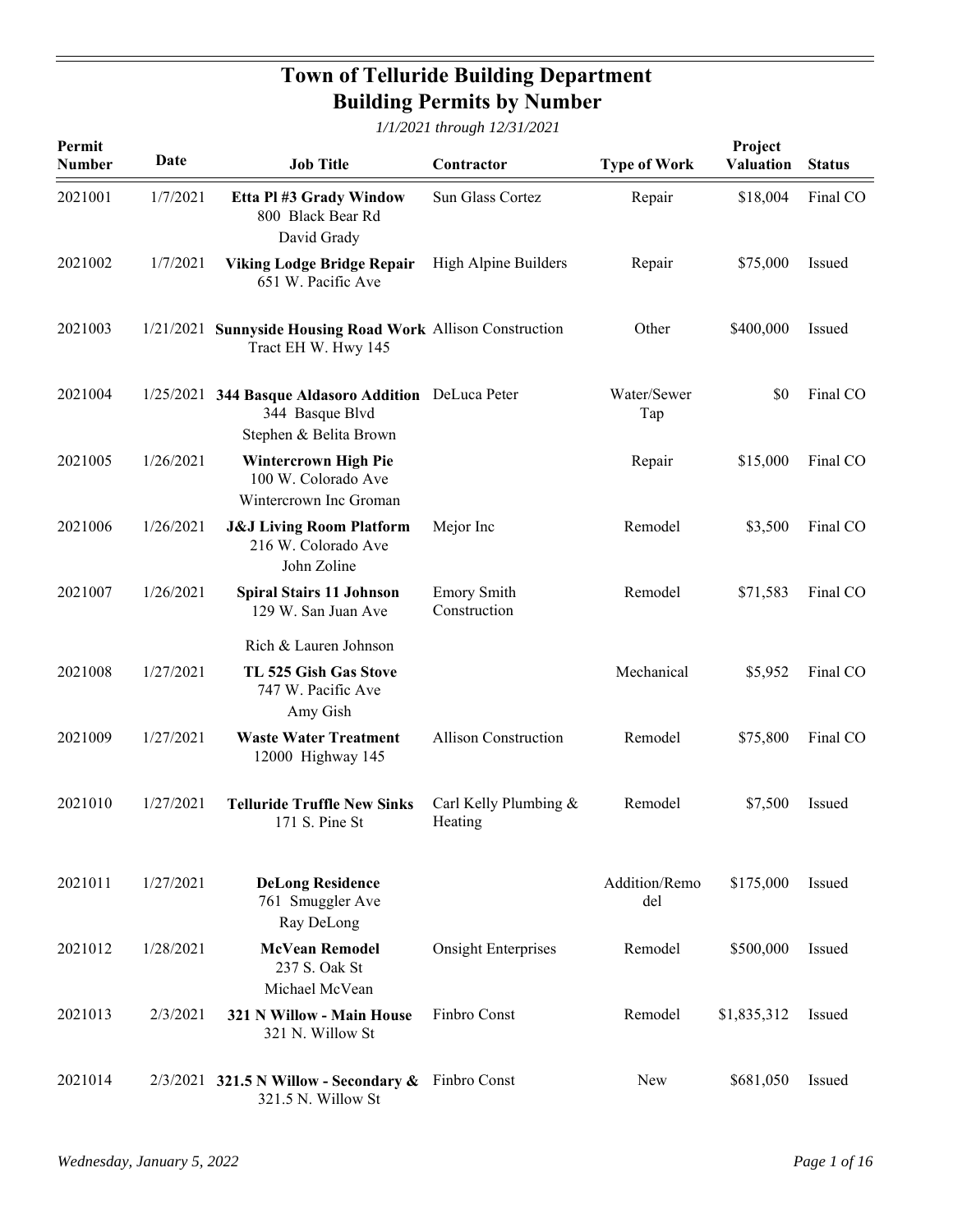| Permit<br>Number | Date      | <b>Job Title</b>                                                                                 | Contractor                         | <b>Type of Work</b>  | Project<br><b>Valuation</b> | <b>Status</b> |
|------------------|-----------|--------------------------------------------------------------------------------------------------|------------------------------------|----------------------|-----------------------------|---------------|
| 2021001          | 1/7/2021  | Etta Pl #3 Grady Window<br>800 Black Bear Rd<br>David Grady                                      | Sun Glass Cortez                   | Repair               | \$18,004                    | Final CO      |
| 2021002          | 1/7/2021  | <b>Viking Lodge Bridge Repair</b><br>651 W. Pacific Ave                                          | High Alpine Builders               | Repair               | \$75,000                    | Issued        |
| 2021003          |           | 1/21/2021 Sunnyside Housing Road Work Allison Construction<br>Tract EH W. Hwy 145                |                                    | Other                | \$400,000                   | Issued        |
| 2021004          |           | 1/25/2021 344 Basque Aldasoro Addition DeLuca Peter<br>344 Basque Blvd<br>Stephen & Belita Brown |                                    | Water/Sewer<br>Tap   | \$0                         | Final CO      |
| 2021005          | 1/26/2021 | <b>Wintercrown High Pie</b><br>100 W. Colorado Ave<br>Wintercrown Inc Groman                     |                                    | Repair               | \$15,000                    | Final CO      |
| 2021006          | 1/26/2021 | <b>J&amp;J Living Room Platform</b><br>216 W. Colorado Ave<br>John Zoline                        | Mejor Inc                          | Remodel              | \$3,500                     | Final CO      |
| 2021007          | 1/26/2021 | <b>Spiral Stairs 11 Johnson</b><br>129 W. San Juan Ave                                           | <b>Emory Smith</b><br>Construction | Remodel              | \$71,583                    | Final CO      |
| 2021008          | 1/27/2021 | Rich & Lauren Johnson<br>TL 525 Gish Gas Stove<br>747 W. Pacific Ave<br>Amy Gish                 |                                    | Mechanical           | \$5,952                     | Final CO      |
| 2021009          | 1/27/2021 | <b>Waste Water Treatment</b><br>12000 Highway 145                                                | <b>Allison Construction</b>        | Remodel              | \$75,800                    | Final CO      |
| 2021010          | 1/27/2021 | <b>Telluride Truffle New Sinks</b><br>171 S. Pine St                                             | Carl Kelly Plumbing &<br>Heating   | Remodel              | \$7,500                     | Issued        |
| 2021011          | 1/27/2021 | <b>DeLong Residence</b><br>761 Smuggler Ave<br>Ray DeLong                                        |                                    | Addition/Remo<br>del | \$175,000                   | Issued        |
| 2021012          | 1/28/2021 | <b>McVean Remodel</b><br>237 S. Oak St<br>Michael McVean                                         | <b>Onsight Enterprises</b>         | Remodel              | \$500,000                   | Issued        |
| 2021013          | 2/3/2021  | 321 N Willow - Main House<br>321 N. Willow St                                                    | Finbro Const                       | Remodel              | \$1,835,312                 | Issued        |
| 2021014          |           | $2/3/2021$ 321.5 N Willow - Secondary & Finbro Const<br>321.5 N. Willow St                       |                                    | New                  | \$681,050                   | Issued        |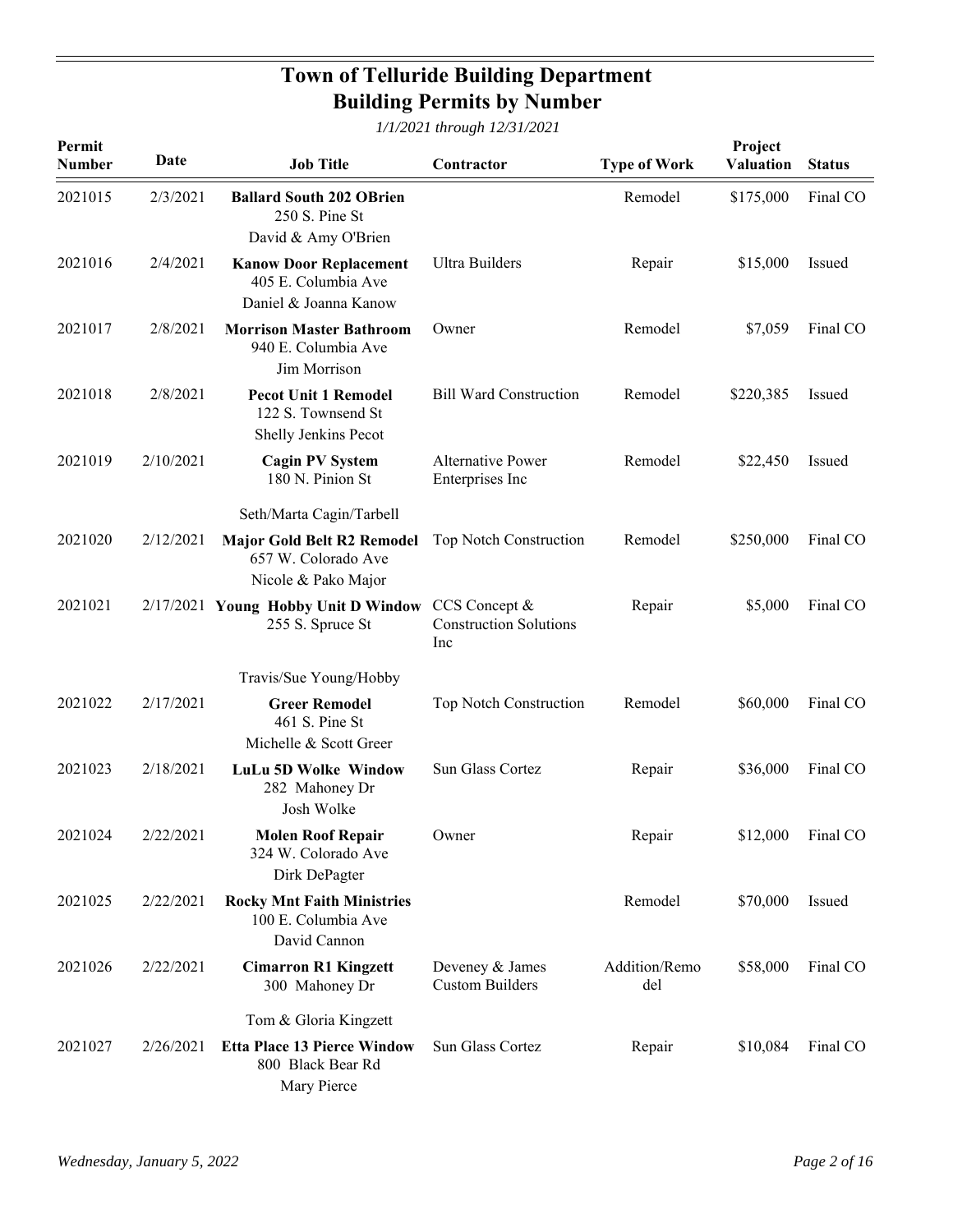| Permit<br>Number | Date      | <b>Job Title</b>                                                                                | Contractor                                                       | <b>Type of Work</b>  | Project<br><b>Valuation</b> | <b>Status</b> |
|------------------|-----------|-------------------------------------------------------------------------------------------------|------------------------------------------------------------------|----------------------|-----------------------------|---------------|
| 2021015          | 2/3/2021  | <b>Ballard South 202 OBrien</b><br>250 S. Pine St                                               |                                                                  | Remodel              | \$175,000                   | Final CO      |
|                  |           | David & Amy O'Brien                                                                             |                                                                  |                      |                             |               |
| 2021016          | 2/4/2021  | <b>Kanow Door Replacement</b><br>405 E. Columbia Ave<br>Daniel & Joanna Kanow                   | <b>Ultra Builders</b>                                            | Repair               | \$15,000                    | Issued        |
| 2021017          | 2/8/2021  | <b>Morrison Master Bathroom</b><br>940 E. Columbia Ave<br>Jim Morrison                          | Owner                                                            | Remodel              | \$7,059                     | Final CO      |
| 2021018          | 2/8/2021  | <b>Pecot Unit 1 Remodel</b><br>122 S. Townsend St<br>Shelly Jenkins Pecot                       | <b>Bill Ward Construction</b>                                    | Remodel              | \$220,385                   | Issued        |
| 2021019          | 2/10/2021 | <b>Cagin PV System</b><br>180 N. Pinion St                                                      | <b>Alternative Power</b><br>Enterprises Inc                      | Remodel              | \$22,450                    | Issued        |
|                  |           | Seth/Marta Cagin/Tarbell                                                                        |                                                                  |                      |                             |               |
| 2021020          | 2/12/2021 | <b>Major Gold Belt R2 Remodel</b><br>657 W. Colorado Ave<br>Nicole & Pako Major                 | Top Notch Construction                                           | Remodel              | \$250,000                   | Final CO      |
| 2021021          |           | 2/17/2021 Young Hobby Unit D Window<br>255 S. Spruce St                                         | CCS Concept &<br><b>Construction Solutions</b><br><sub>lnc</sub> | Repair               | \$5,000                     | Final CO      |
|                  |           | Travis/Sue Young/Hobby                                                                          |                                                                  |                      |                             |               |
| 2021022          | 2/17/2021 | <b>Greer Remodel</b><br>461 S. Pine St<br>Michelle & Scott Greer                                | Top Notch Construction                                           | Remodel              | \$60,000                    | Final CO      |
| 2021023          | 2/18/2021 | <b>LuLu 5D Wolke Window</b><br>282 Mahoney Dr<br>Josh Wolke                                     | Sun Glass Cortez                                                 | Repair               | \$36,000                    | Final CO      |
| 2021024          | 2/22/2021 | <b>Molen Roof Repair</b><br>324 W. Colorado Ave<br>Dirk DePagter                                | Owner                                                            | Repair               | \$12,000                    | Final CO      |
| 2021025          | 2/22/2021 | <b>Rocky Mnt Faith Ministries</b><br>100 E. Columbia Ave<br>David Cannon                        |                                                                  | Remodel              | \$70,000                    | Issued        |
| 2021026          | 2/22/2021 | <b>Cimarron R1 Kingzett</b><br>300 Mahoney Dr                                                   | Deveney & James<br><b>Custom Builders</b>                        | Addition/Remo<br>del | \$58,000                    | Final CO      |
| 2021027          | 2/26/2021 | Tom & Gloria Kingzett<br><b>Etta Place 13 Pierce Window</b><br>800 Black Bear Rd<br>Mary Pierce | Sun Glass Cortez                                                 | Repair               | \$10,084                    | Final CO      |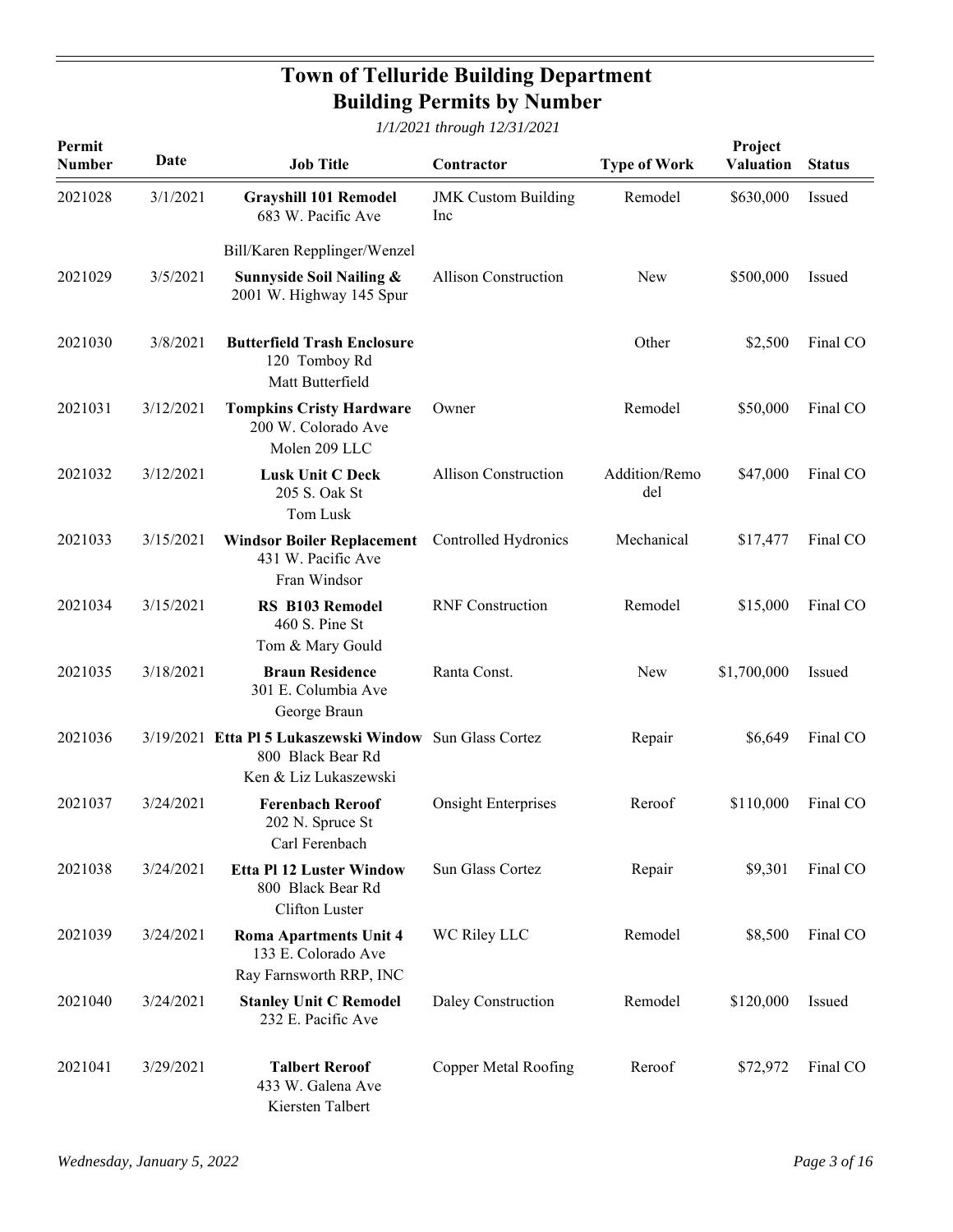| Permit<br>Number | Date      | <b>Job Title</b>                                                                                      | Contractor                        | <b>Type of Work</b>  | Project<br><b>Valuation</b> | <b>Status</b> |
|------------------|-----------|-------------------------------------------------------------------------------------------------------|-----------------------------------|----------------------|-----------------------------|---------------|
| 2021028          | 3/1/2021  | <b>Grayshill 101 Remodel</b><br>683 W. Pacific Ave                                                    | <b>JMK Custom Building</b><br>Inc | Remodel              | \$630,000                   | Issued        |
|                  |           | Bill/Karen Repplinger/Wenzel                                                                          |                                   |                      |                             |               |
| 2021029          | 3/5/2021  | Sunnyside Soil Nailing &<br>2001 W. Highway 145 Spur                                                  | <b>Allison Construction</b>       | New                  | \$500,000                   | Issued        |
| 2021030          | 3/8/2021  | <b>Butterfield Trash Enclosure</b><br>120 Tomboy Rd<br>Matt Butterfield                               |                                   | Other                | \$2,500                     | Final CO      |
| 2021031          | 3/12/2021 | <b>Tompkins Cristy Hardware</b><br>200 W. Colorado Ave<br>Molen 209 LLC                               | Owner                             | Remodel              | \$50,000                    | Final CO      |
| 2021032          | 3/12/2021 | <b>Lusk Unit C Deck</b><br>205 S. Oak St<br>Tom Lusk                                                  | <b>Allison Construction</b>       | Addition/Remo<br>del | \$47,000                    | Final CO      |
| 2021033          | 3/15/2021 | <b>Windsor Boiler Replacement</b><br>431 W. Pacific Ave<br>Fran Windsor                               | Controlled Hydronics              | Mechanical           | \$17,477                    | Final CO      |
| 2021034          | 3/15/2021 | RS B103 Remodel<br>460 S. Pine St<br>Tom & Mary Gould                                                 | <b>RNF</b> Construction           | Remodel              | \$15,000                    | Final CO      |
| 2021035          | 3/18/2021 | <b>Braun Residence</b><br>301 E. Columbia Ave<br>George Braun                                         | Ranta Const.                      | <b>New</b>           | \$1,700,000                 | Issued        |
| 2021036          |           | 3/19/2021 Etta PI 5 Lukaszewski Window Sun Glass Cortez<br>800 Black Bear Rd<br>Ken & Liz Lukaszewski |                                   | Repair               | \$6,649                     | Final CO      |
| 2021037          | 3/24/2021 | <b>Ferenbach Reroof</b><br>202 N. Spruce St<br>Carl Ferenbach                                         | <b>Onsight Enterprises</b>        | Reroof               | \$110,000                   | Final CO      |
| 2021038          | 3/24/2021 | <b>Etta Pl 12 Luster Window</b><br>800 Black Bear Rd<br>Clifton Luster                                | Sun Glass Cortez                  | Repair               | \$9,301                     | Final CO      |
| 2021039          | 3/24/2021 | <b>Roma Apartments Unit 4</b><br>133 E. Colorado Ave<br>Ray Farnsworth RRP, INC                       | WC Riley LLC                      | Remodel              | \$8,500                     | Final CO      |
| 2021040          | 3/24/2021 | <b>Stanley Unit C Remodel</b><br>232 E. Pacific Ave                                                   | Daley Construction                | Remodel              | \$120,000                   | Issued        |
| 2021041          | 3/29/2021 | <b>Talbert Reroof</b><br>433 W. Galena Ave<br>Kiersten Talbert                                        | Copper Metal Roofing              | Reroof               | \$72,972                    | Final CO      |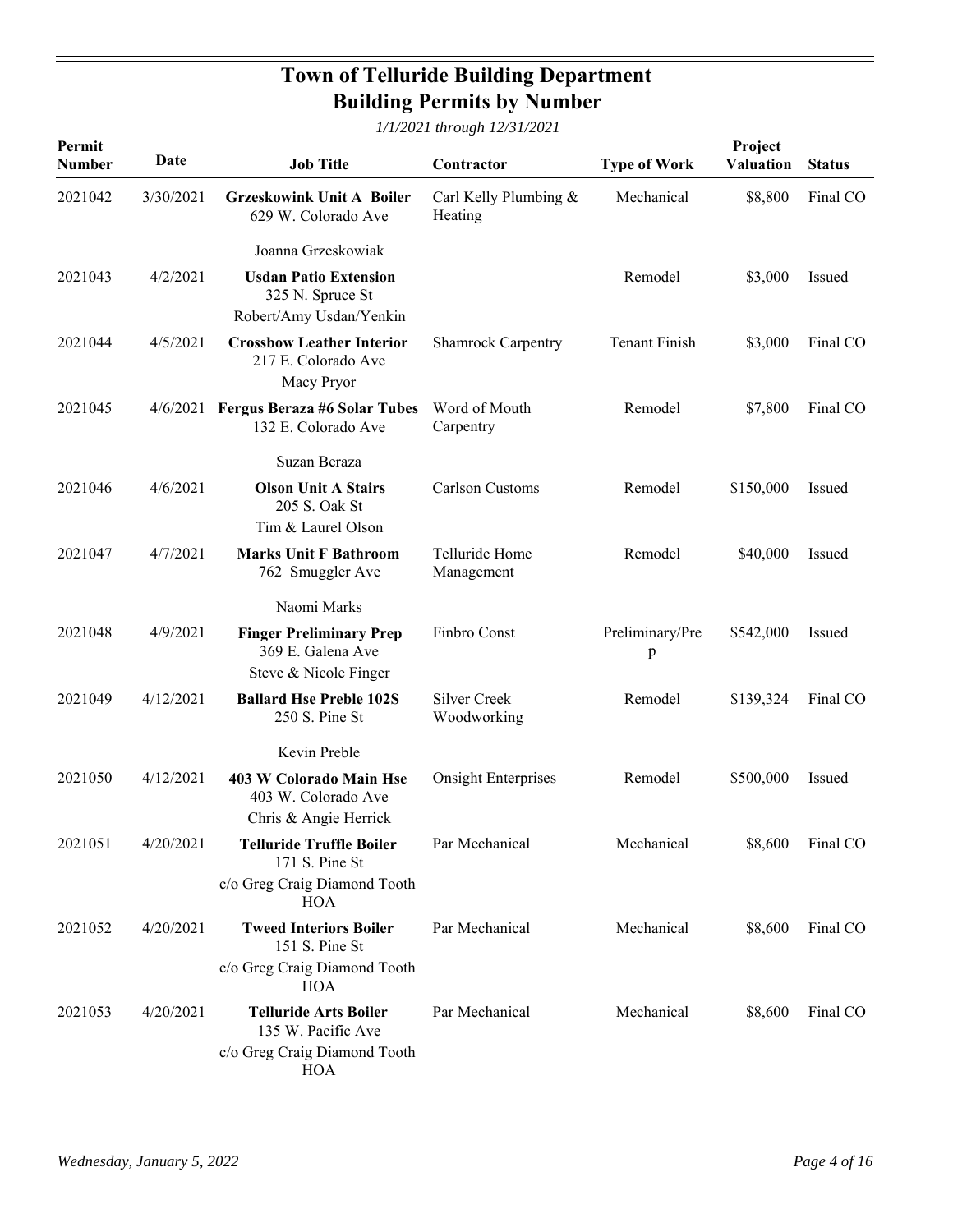| Permit<br>Number | Date      | <b>Job Title</b>                                                                                 | Contractor                       | <b>Type of Work</b>  | Project<br><b>Valuation</b> | <b>Status</b> |
|------------------|-----------|--------------------------------------------------------------------------------------------------|----------------------------------|----------------------|-----------------------------|---------------|
| 2021042          | 3/30/2021 | <b>Grzeskowink Unit A Boiler</b><br>629 W. Colorado Ave                                          | Carl Kelly Plumbing &<br>Heating | Mechanical           | \$8,800                     | Final CO      |
|                  |           | Joanna Grzeskowiak                                                                               |                                  |                      |                             |               |
| 2021043          | 4/2/2021  | <b>Usdan Patio Extension</b><br>325 N. Spruce St<br>Robert/Amy Usdan/Yenkin                      |                                  | Remodel              | \$3,000                     | Issued        |
| 2021044          | 4/5/2021  | <b>Crossbow Leather Interior</b><br>217 E. Colorado Ave<br>Macy Pryor                            | <b>Shamrock Carpentry</b>        | <b>Tenant Finish</b> | \$3,000                     | Final CO      |
| 2021045          |           | 4/6/2021 Fergus Beraza #6 Solar Tubes<br>132 E. Colorado Ave                                     | Word of Mouth<br>Carpentry       | Remodel              | \$7,800                     | Final CO      |
|                  |           | Suzan Beraza                                                                                     |                                  |                      |                             |               |
| 2021046          | 4/6/2021  | <b>Olson Unit A Stairs</b><br>205 S. Oak St<br>Tim & Laurel Olson                                | <b>Carlson Customs</b>           | Remodel              | \$150,000                   | Issued        |
| 2021047          | 4/7/2021  | <b>Marks Unit F Bathroom</b><br>762 Smuggler Ave                                                 | Telluride Home<br>Management     | Remodel              | \$40,000                    | Issued        |
|                  |           | Naomi Marks                                                                                      |                                  |                      |                             |               |
| 2021048          | 4/9/2021  | <b>Finger Preliminary Prep</b><br>369 E. Galena Ave<br>Steve & Nicole Finger                     | Finbro Const                     | Preliminary/Pre<br>p | \$542,000                   | Issued        |
| 2021049          | 4/12/2021 | <b>Ballard Hse Preble 102S</b><br>250 S. Pine St                                                 | Silver Creek<br>Woodworking      | Remodel              | \$139,324                   | Final CO      |
|                  |           | Kevin Preble                                                                                     |                                  |                      |                             |               |
| 2021050          | 4/12/2021 | 403 W Colorado Main Hse<br>403 W. Colorado Ave<br>Chris & Angie Herrick                          | <b>Onsight Enterprises</b>       | Remodel              | \$500,000                   | Issued        |
| 2021051          | 4/20/2021 | <b>Telluride Truffle Boiler</b><br>171 S. Pine St                                                | Par Mechanical                   | Mechanical           | \$8,600                     | Final CO      |
|                  |           | c/o Greg Craig Diamond Tooth<br><b>HOA</b>                                                       |                                  |                      |                             |               |
| 2021052          | 4/20/2021 | <b>Tweed Interiors Boiler</b><br>151 S. Pine St                                                  | Par Mechanical                   | Mechanical           | \$8,600                     | Final CO      |
|                  |           | c/o Greg Craig Diamond Tooth<br><b>HOA</b>                                                       |                                  |                      |                             |               |
| 2021053          | 4/20/2021 | <b>Telluride Arts Boiler</b><br>135 W. Pacific Ave<br>c/o Greg Craig Diamond Tooth<br><b>HOA</b> | Par Mechanical                   | Mechanical           | \$8,600                     | Final CO      |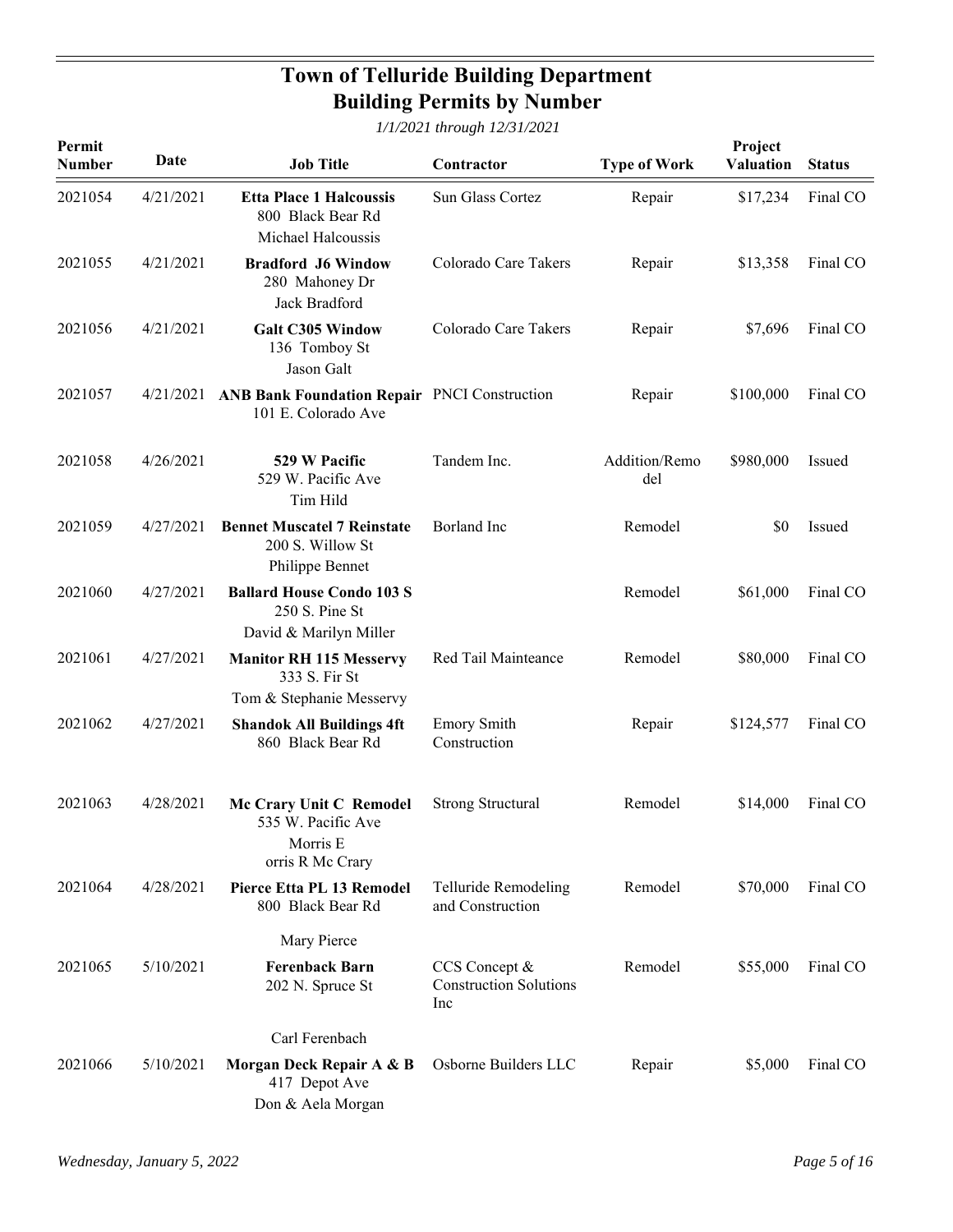| Permit<br>Number | Date      | <b>Job Title</b>                                                                 | Contractor                                            | <b>Type of Work</b>  | Project<br><b>Valuation</b> | <b>Status</b> |
|------------------|-----------|----------------------------------------------------------------------------------|-------------------------------------------------------|----------------------|-----------------------------|---------------|
| 2021054          | 4/21/2021 | <b>Etta Place 1 Halcoussis</b><br>800 Black Bear Rd<br>Michael Halcoussis        | Sun Glass Cortez                                      | Repair               | \$17,234                    | Final CO      |
| 2021055          | 4/21/2021 | <b>Bradford J6 Window</b><br>280 Mahoney Dr<br>Jack Bradford                     | Colorado Care Takers                                  | Repair               | \$13,358                    | Final CO      |
| 2021056          | 4/21/2021 | <b>Galt C305 Window</b><br>136 Tomboy St<br>Jason Galt                           | Colorado Care Takers                                  | Repair               | \$7,696                     | Final CO      |
| 2021057          |           | 4/21/2021 ANB Bank Foundation Repair PNCI Construction<br>101 E. Colorado Ave    |                                                       | Repair               | \$100,000                   | Final CO      |
| 2021058          | 4/26/2021 | 529 W Pacific<br>529 W. Pacific Ave<br>Tim Hild                                  | Tandem Inc.                                           | Addition/Remo<br>del | \$980,000                   | <b>Issued</b> |
| 2021059          | 4/27/2021 | <b>Bennet Muscatel 7 Reinstate</b><br>200 S. Willow St<br>Philippe Bennet        | Borland Inc                                           | Remodel              | \$0                         | Issued        |
| 2021060          | 4/27/2021 | <b>Ballard House Condo 103 S</b><br>250 S. Pine St<br>David & Marilyn Miller     |                                                       | Remodel              | \$61,000                    | Final CO      |
| 2021061          | 4/27/2021 | <b>Manitor RH 115 Messervy</b><br>333 S. Fir St<br>Tom & Stephanie Messervy      | Red Tail Mainteance                                   | Remodel              | \$80,000                    | Final CO      |
| 2021062          | 4/27/2021 | <b>Shandok All Buildings 4ft</b><br>860 Black Bear Rd                            | <b>Emory Smith</b><br>Construction                    | Repair               | \$124,577                   | Final CO      |
| 2021063          | 4/28/2021 | Mc Crary Unit C Remodel<br>535 W. Pacific Ave<br>Morris E<br>orris R Mc Crary    | <b>Strong Structural</b>                              | Remodel              | \$14,000                    | Final CO      |
| 2021064          | 4/28/2021 | Pierce Etta PL 13 Remodel<br>800 Black Bear Rd                                   | Telluride Remodeling<br>and Construction              | Remodel              | \$70,000                    | Final CO      |
| 2021065          | 5/10/2021 | Mary Pierce<br><b>Ferenback Barn</b><br>202 N. Spruce St                         | CCS Concept &<br><b>Construction Solutions</b><br>Inc | Remodel              | \$55,000                    | Final CO      |
| 2021066          | 5/10/2021 | Carl Ferenbach<br>Morgan Deck Repair A & B<br>417 Depot Ave<br>Don & Aela Morgan | Osborne Builders LLC                                  | Repair               | \$5,000                     | Final CO      |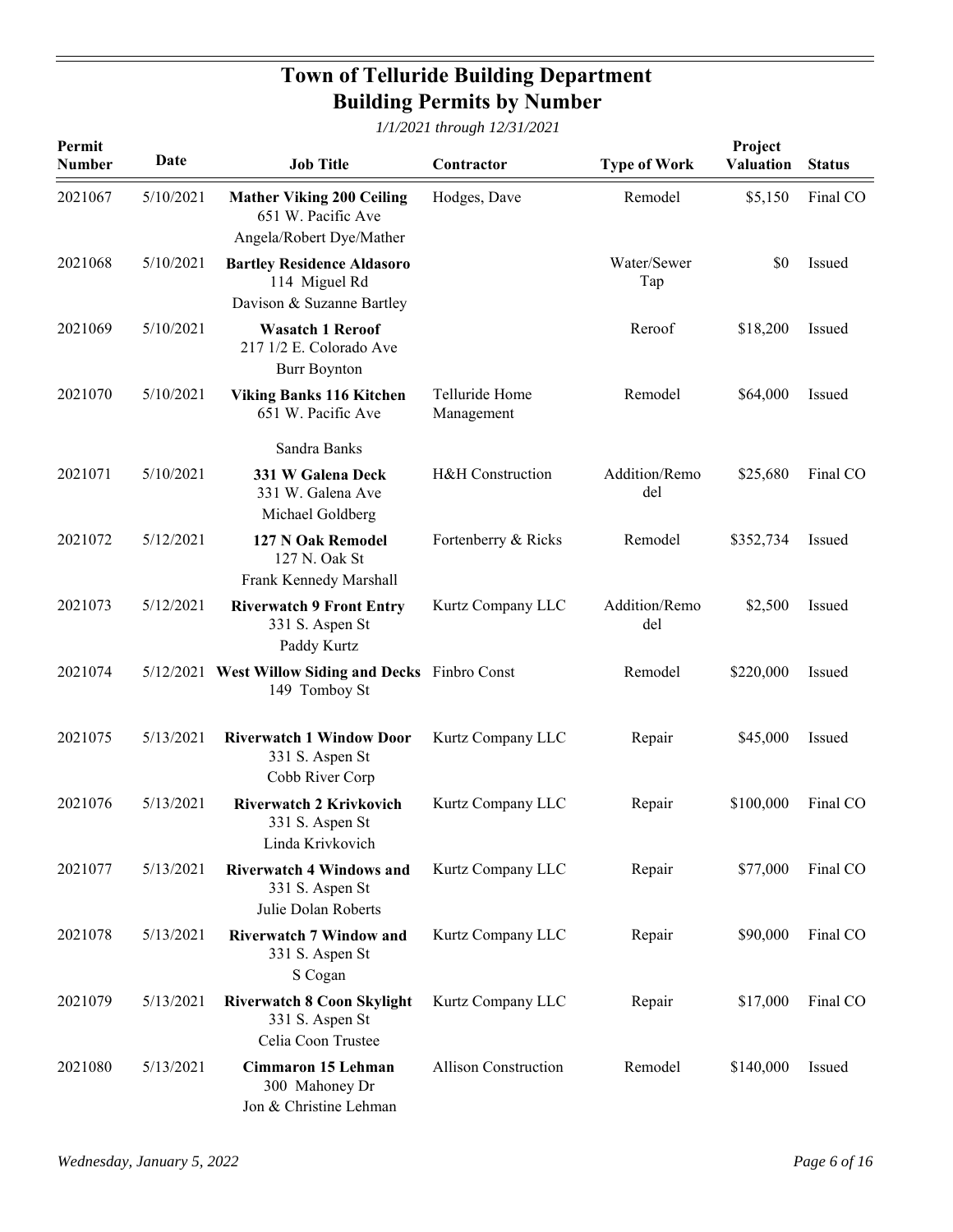| Permit<br>Number | Date      | <b>Job Title</b>                                                                   | Contractor                   | <b>Type of Work</b>  | Project<br><b>Valuation</b> | <b>Status</b> |
|------------------|-----------|------------------------------------------------------------------------------------|------------------------------|----------------------|-----------------------------|---------------|
| 2021067          | 5/10/2021 | <b>Mather Viking 200 Ceiling</b><br>651 W. Pacific Ave<br>Angela/Robert Dye/Mather | Hodges, Dave                 | Remodel              | \$5,150                     | Final CO      |
| 2021068          | 5/10/2021 | <b>Bartley Residence Aldasoro</b><br>114 Miguel Rd<br>Davison & Suzanne Bartley    |                              | Water/Sewer<br>Tap   | \$0                         | Issued        |
| 2021069          | 5/10/2021 | <b>Wasatch 1 Reroof</b><br>217 1/2 E. Colorado Ave<br><b>Burr Boynton</b>          |                              | Reroof               | \$18,200                    | Issued        |
| 2021070          | 5/10/2021 | <b>Viking Banks 116 Kitchen</b><br>651 W. Pacific Ave<br>Sandra Banks              | Telluride Home<br>Management | Remodel              | \$64,000                    | Issued        |
| 2021071          | 5/10/2021 | 331 W Galena Deck<br>331 W. Galena Ave<br>Michael Goldberg                         | H&H Construction             | Addition/Remo<br>del | \$25,680                    | Final CO      |
| 2021072          | 5/12/2021 | 127 N Oak Remodel<br>127 N. Oak St<br>Frank Kennedy Marshall                       | Fortenberry & Ricks          | Remodel              | \$352,734                   | Issued        |
| 2021073          | 5/12/2021 | <b>Riverwatch 9 Front Entry</b><br>331 S. Aspen St<br>Paddy Kurtz                  | Kurtz Company LLC            | Addition/Remo<br>del | \$2,500                     | Issued        |
| 2021074          |           | 5/12/2021 West Willow Siding and Decks Finbro Const<br>149 Tomboy St               |                              | Remodel              | \$220,000                   | Issued        |
| 2021075          | 5/13/2021 | <b>Riverwatch 1 Window Door</b><br>331 S. Aspen St<br>Cobb River Corp              | Kurtz Company LLC            | Repair               | \$45,000                    | Issued        |
| 2021076          | 5/13/2021 | <b>Riverwatch 2 Krivkovich</b><br>331 S. Aspen St<br>Linda Krivkovich              | Kurtz Company LLC            | Repair               | \$100,000                   | Final CO      |
| 2021077          | 5/13/2021 | <b>Riverwatch 4 Windows and</b><br>331 S. Aspen St<br>Julie Dolan Roberts          | Kurtz Company LLC            | Repair               | \$77,000                    | Final CO      |
| 2021078          | 5/13/2021 | <b>Riverwatch 7 Window and</b><br>331 S. Aspen St<br>S Cogan                       | Kurtz Company LLC            | Repair               | \$90,000                    | Final CO      |
| 2021079          | 5/13/2021 | <b>Riverwatch 8 Coon Skylight</b><br>331 S. Aspen St<br>Celia Coon Trustee         | Kurtz Company LLC            | Repair               | \$17,000                    | Final CO      |
| 2021080          | 5/13/2021 | <b>Cimmaron 15 Lehman</b><br>300 Mahoney Dr<br>Jon & Christine Lehman              | <b>Allison Construction</b>  | Remodel              | \$140,000                   | Issued        |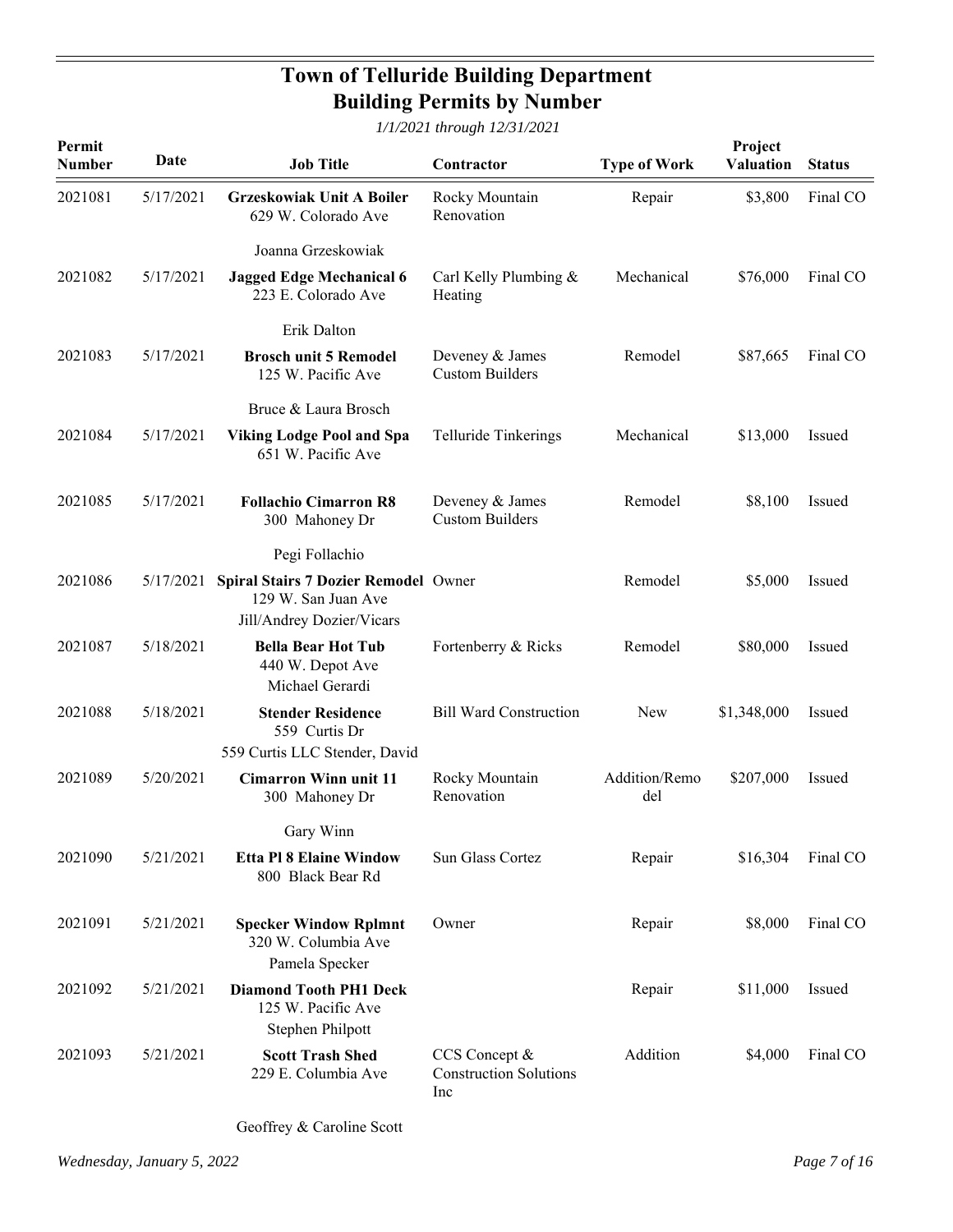**Field33:** *1/1/2021 through 12/31/2021*

| Permit<br>Number | Date      | <b>Job Title</b>                                                                                   | Contractor                                            | <b>Type of Work</b>  | Project<br><b>Valuation</b> | <b>Status</b> |
|------------------|-----------|----------------------------------------------------------------------------------------------------|-------------------------------------------------------|----------------------|-----------------------------|---------------|
| 2021081          | 5/17/2021 | <b>Grzeskowiak Unit A Boiler</b><br>629 W. Colorado Ave                                            | Rocky Mountain<br>Renovation                          | Repair               | \$3,800                     | Final CO      |
|                  |           | Joanna Grzeskowiak                                                                                 |                                                       |                      |                             |               |
| 2021082          | 5/17/2021 | <b>Jagged Edge Mechanical 6</b><br>223 E. Colorado Ave                                             | Carl Kelly Plumbing &<br>Heating                      | Mechanical           | \$76,000                    | Final CO      |
|                  |           | Erik Dalton                                                                                        |                                                       |                      |                             |               |
| 2021083          | 5/17/2021 | <b>Brosch unit 5 Remodel</b><br>125 W. Pacific Ave                                                 | Deveney & James<br><b>Custom Builders</b>             | Remodel              | \$87,665                    | Final CO      |
|                  |           | Bruce & Laura Brosch                                                                               |                                                       |                      |                             |               |
| 2021084          | 5/17/2021 | <b>Viking Lodge Pool and Spa</b><br>651 W. Pacific Ave                                             | Telluride Tinkerings                                  | Mechanical           | \$13,000                    | Issued        |
| 2021085          | 5/17/2021 | <b>Follachio Cimarron R8</b><br>300 Mahoney Dr                                                     | Deveney & James<br><b>Custom Builders</b>             | Remodel              | \$8,100                     | Issued        |
|                  |           | Pegi Follachio                                                                                     |                                                       |                      |                             |               |
| 2021086          |           | 5/17/2021 Spiral Stairs 7 Dozier Remodel Owner<br>129 W. San Juan Ave<br>Jill/Andrey Dozier/Vicars |                                                       | Remodel              | \$5,000                     | Issued        |
| 2021087          | 5/18/2021 | <b>Bella Bear Hot Tub</b><br>440 W. Depot Ave<br>Michael Gerardi                                   | Fortenberry & Ricks                                   | Remodel              | \$80,000                    | Issued        |
| 2021088          | 5/18/2021 | <b>Stender Residence</b><br>559 Curtis Dr<br>559 Curtis LLC Stender, David                         | <b>Bill Ward Construction</b>                         | New                  | \$1,348,000                 | Issued        |
| 2021089          | 5/20/2021 | <b>Cimarron Winn unit 11</b><br>300 Mahoney Dr                                                     | Rocky Mountain<br>Renovation                          | Addition/Remo<br>del | \$207,000                   | Issued        |
|                  |           | Gary Winn                                                                                          |                                                       |                      |                             |               |
| 2021090          | 5/21/2021 | <b>Etta Pl 8 Elaine Window</b><br>800 Black Bear Rd                                                | Sun Glass Cortez                                      | Repair               | \$16,304                    | Final CO      |
| 2021091          | 5/21/2021 | <b>Specker Window Rplmnt</b><br>320 W. Columbia Ave<br>Pamela Specker                              | Owner                                                 | Repair               | \$8,000                     | Final CO      |
| 2021092          | 5/21/2021 | <b>Diamond Tooth PH1 Deck</b><br>125 W. Pacific Ave<br>Stephen Philpott                            |                                                       | Repair               | \$11,000                    | Issued        |
| 2021093          | 5/21/2021 | <b>Scott Trash Shed</b><br>229 E. Columbia Ave                                                     | CCS Concept &<br><b>Construction Solutions</b><br>Inc | Addition             | \$4,000                     | Final CO      |

Geoffrey & Caroline Scott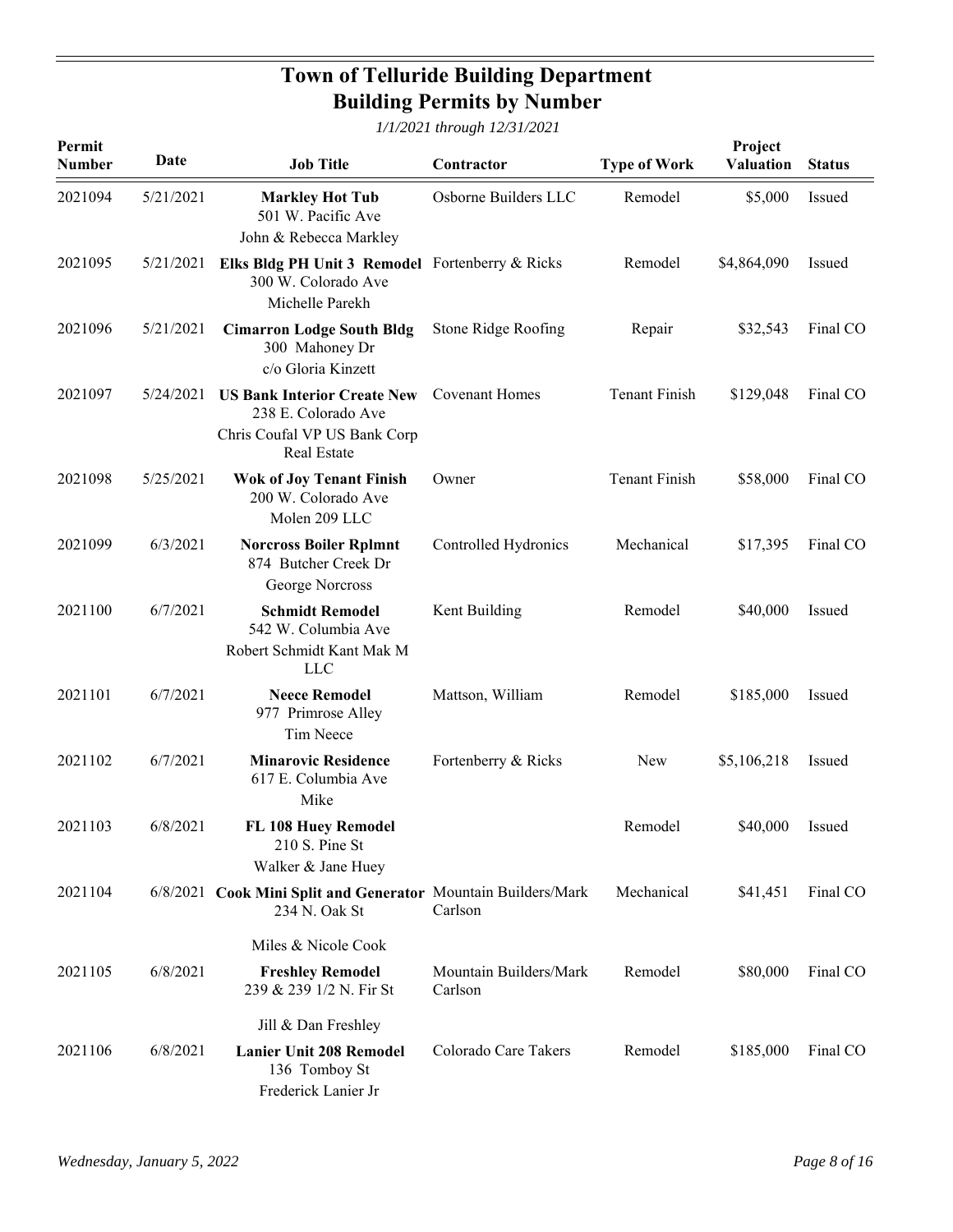| Permit<br>Number | Date      | <b>Job Title</b>                                                                                         | Contractor                        | <b>Type of Work</b>  | Project<br><b>Valuation</b> | <b>Status</b> |
|------------------|-----------|----------------------------------------------------------------------------------------------------------|-----------------------------------|----------------------|-----------------------------|---------------|
| 2021094          | 5/21/2021 | <b>Markley Hot Tub</b><br>501 W. Pacific Ave<br>John & Rebecca Markley                                   | Osborne Builders LLC              | Remodel              | \$5,000                     | Issued        |
| 2021095          | 5/21/2021 | Elks Bldg PH Unit 3 Remodel Fortenberry & Ricks<br>300 W. Colorado Ave<br>Michelle Parekh                |                                   | Remodel              | \$4,864,090                 | Issued        |
| 2021096          | 5/21/2021 | <b>Cimarron Lodge South Bldg</b><br>300 Mahoney Dr<br>c/o Gloria Kinzett                                 | Stone Ridge Roofing               | Repair               | \$32,543                    | Final CO      |
| 2021097          | 5/24/2021 | <b>US Bank Interior Create New</b><br>238 E. Colorado Ave<br>Chris Coufal VP US Bank Corp<br>Real Estate | <b>Covenant Homes</b>             | <b>Tenant Finish</b> | \$129,048                   | Final CO      |
| 2021098          | 5/25/2021 | <b>Wok of Joy Tenant Finish</b><br>200 W. Colorado Ave<br>Molen 209 LLC                                  | Owner                             | <b>Tenant Finish</b> | \$58,000                    | Final CO      |
| 2021099          | 6/3/2021  | <b>Norcross Boiler Rplmnt</b><br>874 Butcher Creek Dr<br>George Norcross                                 | Controlled Hydronics              | Mechanical           | \$17,395                    | Final CO      |
| 2021100          | 6/7/2021  | <b>Schmidt Remodel</b><br>542 W. Columbia Ave<br>Robert Schmidt Kant Mak M<br><b>LLC</b>                 | Kent Building                     | Remodel              | \$40,000                    | Issued        |
| 2021101          | 6/7/2021  | <b>Neece Remodel</b><br>977 Primrose Alley<br>Tim Neece                                                  | Mattson, William                  | Remodel              | \$185,000                   | Issued        |
| 2021102          | 6/7/2021  | <b>Minarovic Residence</b><br>617 E. Columbia Ave<br>Mike                                                | Fortenberry & Ricks               | <b>New</b>           | \$5,106,218                 | Issued        |
| 2021103          | 6/8/2021  | FL 108 Huey Remodel<br>210 S. Pine St<br>Walker & Jane Huey                                              |                                   | Remodel              | \$40,000                    | Issued        |
| 2021104          |           | 6/8/2021 Cook Mini Split and Generator Mountain Builders/Mark<br>234 N. Oak St                           | Carlson                           | Mechanical           | \$41,451                    | Final CO      |
| 2021105          | 6/8/2021  | Miles & Nicole Cook<br><b>Freshley Remodel</b><br>239 & 239 1/2 N. Fir St                                | Mountain Builders/Mark<br>Carlson | Remodel              | \$80,000                    | Final CO      |
| 2021106          | 6/8/2021  | Jill & Dan Freshley<br><b>Lanier Unit 208 Remodel</b><br>136 Tomboy St<br>Frederick Lanier Jr            | Colorado Care Takers              | Remodel              | \$185,000                   | Final CO      |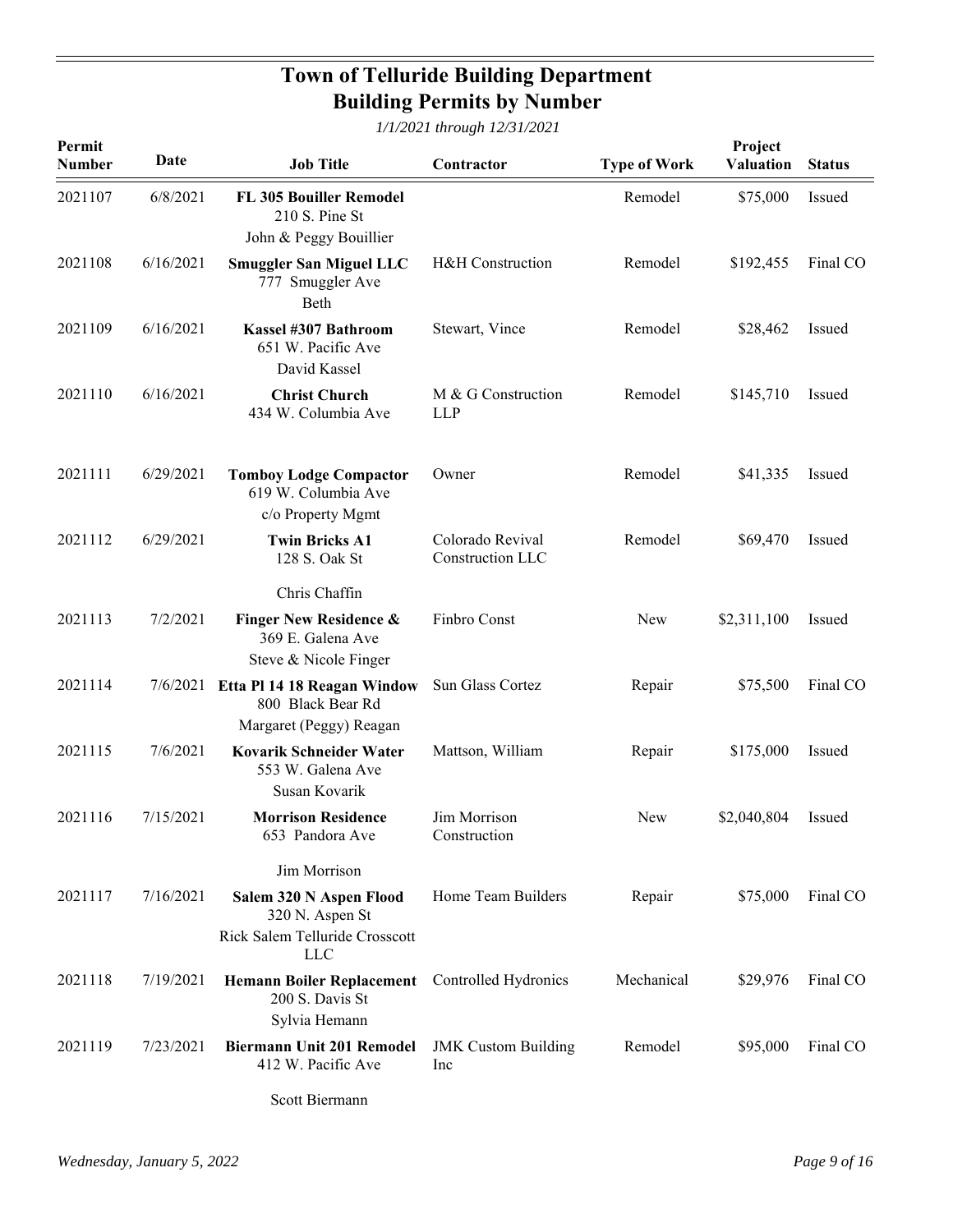**Field33:** *1/1/2021 through 12/31/2021*

| Permit<br>Number | Date      | <b>Job Title</b>                                                                     | Contractor                           | <b>Type of Work</b> | Project<br><b>Valuation</b> | <b>Status</b> |
|------------------|-----------|--------------------------------------------------------------------------------------|--------------------------------------|---------------------|-----------------------------|---------------|
| 2021107          | 6/8/2021  | FL 305 Bouiller Remodel<br>210 S. Pine St                                            |                                      | Remodel             | \$75,000                    | Issued        |
| 2021108          | 6/16/2021 | John & Peggy Bouillier<br><b>Smuggler San Miguel LLC</b><br>777 Smuggler Ave<br>Beth | H&H Construction                     | Remodel             | \$192,455                   | Final CO      |
| 2021109          | 6/16/2021 | Kassel #307 Bathroom<br>651 W. Pacific Ave<br>David Kassel                           | Stewart, Vince                       | Remodel             | \$28,462                    | Issued        |
| 2021110          | 6/16/2021 | <b>Christ Church</b><br>434 W. Columbia Ave                                          | M & G Construction<br><b>LLP</b>     | Remodel             | \$145,710                   | Issued        |
| 2021111          | 6/29/2021 | <b>Tomboy Lodge Compactor</b><br>619 W. Columbia Ave<br>c/o Property Mgmt            | Owner                                | Remodel             | \$41,335                    | Issued        |
| 2021112          | 6/29/2021 | <b>Twin Bricks A1</b><br>128 S. Oak St                                               | Colorado Revival<br>Construction LLC | Remodel             | \$69,470                    | Issued        |
|                  |           | Chris Chaffin                                                                        |                                      |                     |                             |               |
| 2021113          | 7/2/2021  | <b>Finger New Residence &amp;</b><br>369 E. Galena Ave<br>Steve & Nicole Finger      | Finbro Const                         | New                 | \$2,311,100                 | Issued        |
| 2021114          |           | 7/6/2021 Etta Pl 14 18 Reagan Window<br>800 Black Bear Rd<br>Margaret (Peggy) Reagan | Sun Glass Cortez                     | Repair              | \$75,500                    | Final CO      |
| 2021115          | 7/6/2021  | <b>Kovarik Schneider Water</b><br>553 W. Galena Ave<br>Susan Kovarik                 | Mattson, William                     | Repair              | \$175,000                   | Issued        |
| 2021116          | 7/15/2021 | <b>Morrison Residence</b><br>653 Pandora Ave                                         | Jim Morrison<br>Construction         | <b>New</b>          | \$2,040,804                 | Issued        |
|                  |           | Jim Morrison                                                                         |                                      |                     |                             |               |
| 2021117          | 7/16/2021 | Salem 320 N Aspen Flood<br>320 N. Aspen St<br>Rick Salem Telluride Crosscott         | Home Team Builders                   | Repair              | \$75,000                    | Final CO      |
|                  |           | <b>LLC</b>                                                                           |                                      |                     |                             |               |
| 2021118          | 7/19/2021 | <b>Hemann Boiler Replacement</b><br>200 S. Davis St<br>Sylvia Hemann                 | Controlled Hydronics                 | Mechanical          | \$29,976                    | Final CO      |
| 2021119          | 7/23/2021 | <b>Biermann Unit 201 Remodel</b><br>412 W. Pacific Ave                               | <b>JMK</b> Custom Building<br>Inc    | Remodel             | \$95,000                    | Final CO      |
|                  |           |                                                                                      |                                      |                     |                             |               |

Scott Biermann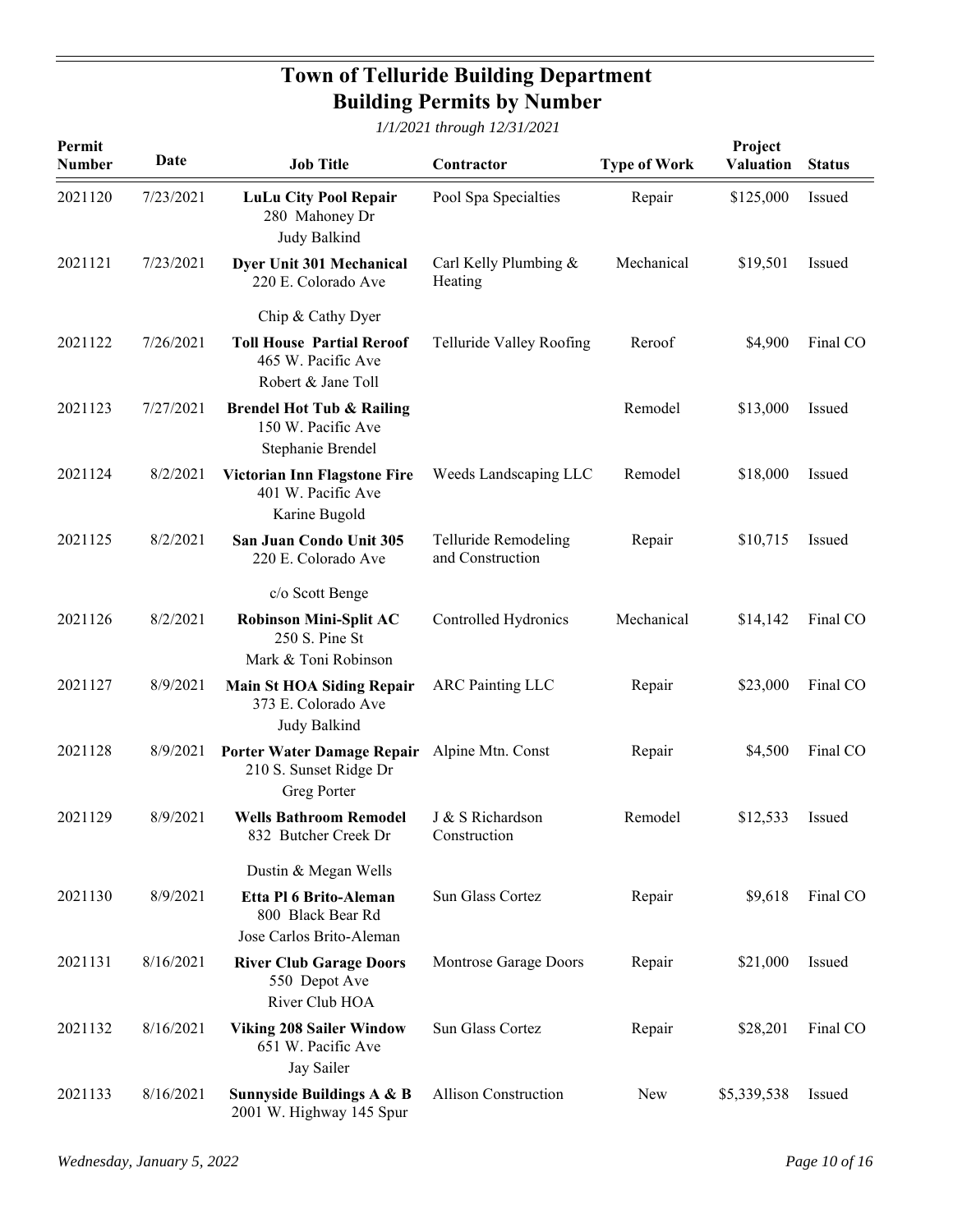| Permit<br><b>Number</b> | Date      | <b>Job Title</b>                                                                | Contractor                               | <b>Type of Work</b> | Project<br><b>Valuation</b> | <b>Status</b> |
|-------------------------|-----------|---------------------------------------------------------------------------------|------------------------------------------|---------------------|-----------------------------|---------------|
| 2021120                 | 7/23/2021 | <b>LuLu City Pool Repair</b><br>280 Mahoney Dr<br>Judy Balkind                  | Pool Spa Specialties                     | Repair              | \$125,000                   | Issued        |
| 2021121                 | 7/23/2021 | Dyer Unit 301 Mechanical<br>220 E. Colorado Ave                                 | Carl Kelly Plumbing &<br>Heating         | Mechanical          | \$19,501                    | Issued        |
|                         |           | Chip & Cathy Dyer                                                               |                                          |                     |                             |               |
| 2021122                 | 7/26/2021 | <b>Toll House Partial Reroof</b><br>465 W. Pacific Ave<br>Robert & Jane Toll    | Telluride Valley Roofing                 | Reroof              | \$4,900                     | Final CO      |
| 2021123                 | 7/27/2021 | <b>Brendel Hot Tub &amp; Railing</b><br>150 W. Pacific Ave<br>Stephanie Brendel |                                          | Remodel             | \$13,000                    | Issued        |
| 2021124                 | 8/2/2021  | Victorian Inn Flagstone Fire<br>401 W. Pacific Ave<br>Karine Bugold             | Weeds Landscaping LLC                    | Remodel             | \$18,000                    | Issued        |
| 2021125                 | 8/2/2021  | San Juan Condo Unit 305<br>220 E. Colorado Ave                                  | Telluride Remodeling<br>and Construction | Repair              | \$10,715                    | Issued        |
|                         |           | c/o Scott Benge                                                                 |                                          |                     |                             |               |
| 2021126                 | 8/2/2021  | <b>Robinson Mini-Split AC</b><br>250 S. Pine St<br>Mark & Toni Robinson         | Controlled Hydronics                     | Mechanical          | \$14,142                    | Final CO      |
| 2021127                 | 8/9/2021  | <b>Main St HOA Siding Repair</b><br>373 E. Colorado Ave<br>Judy Balkind         | <b>ARC Painting LLC</b>                  | Repair              | \$23,000                    | Final CO      |
| 2021128                 | 8/9/2021  | Porter Water Damage Repair<br>210 S. Sunset Ridge Dr<br>Greg Porter             | Alpine Mtn. Const                        | Repair              | \$4,500                     | Final CO      |
| 2021129                 | 8/9/2021  | <b>Wells Bathroom Remodel</b><br>832 Butcher Creek Dr                           | J & S Richardson<br>Construction         | Remodel             | \$12,533                    | Issued        |
|                         |           | Dustin & Megan Wells                                                            |                                          |                     |                             |               |
| 2021130                 | 8/9/2021  | Etta Pl 6 Brito-Aleman<br>800 Black Bear Rd                                     | Sun Glass Cortez                         | Repair              | \$9,618                     | Final CO      |
|                         |           | Jose Carlos Brito-Aleman                                                        |                                          |                     |                             |               |
| 2021131                 | 8/16/2021 | <b>River Club Garage Doors</b><br>550 Depot Ave<br>River Club HOA               | Montrose Garage Doors                    | Repair              | \$21,000                    | Issued        |
| 2021132                 | 8/16/2021 | <b>Viking 208 Sailer Window</b><br>651 W. Pacific Ave<br>Jay Sailer             | Sun Glass Cortez                         | Repair              | \$28,201                    | Final CO      |
| 2021133                 | 8/16/2021 | <b>Sunnyside Buildings A &amp; B</b><br>2001 W. Highway 145 Spur                | Allison Construction                     | <b>New</b>          | \$5,339,538                 | Issued        |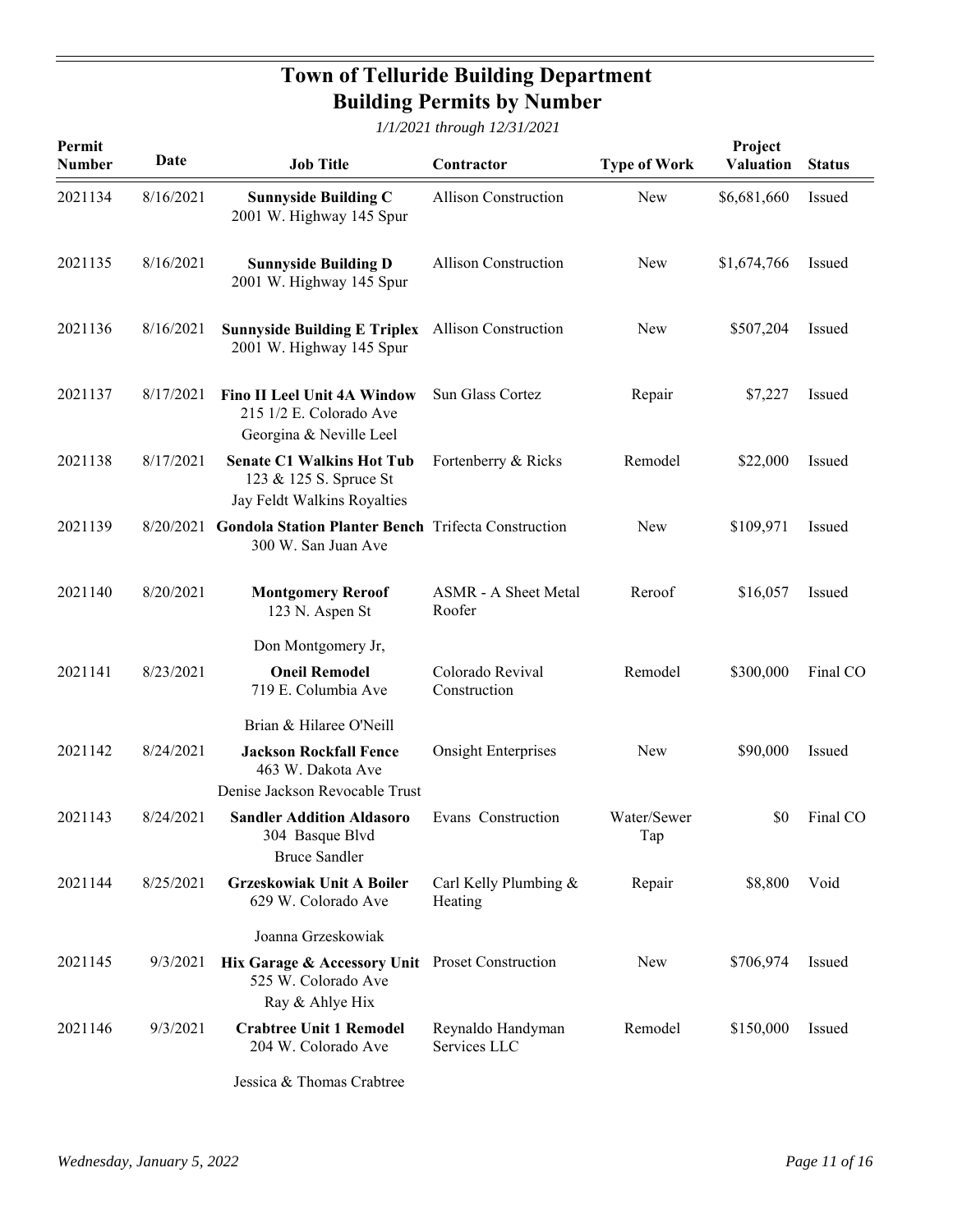**Field33:** *1/1/2021 through 12/31/2021*

| Permit<br>Number | Date      | <b>Job Title</b>                                                                                                | Contractor                            | <b>Type of Work</b> | Project<br><b>Valuation</b> | <b>Status</b> |
|------------------|-----------|-----------------------------------------------------------------------------------------------------------------|---------------------------------------|---------------------|-----------------------------|---------------|
| 2021134          | 8/16/2021 | <b>Sunnyside Building C</b><br>2001 W. Highway 145 Spur                                                         | <b>Allison Construction</b>           | <b>New</b>          | \$6,681,660                 | Issued        |
| 2021135          | 8/16/2021 | <b>Sunnyside Building D</b><br>2001 W. Highway 145 Spur                                                         | <b>Allison Construction</b>           | New                 | \$1,674,766                 | Issued        |
| 2021136          | 8/16/2021 | <b>Sunnyside Building E Triplex</b><br>2001 W. Highway 145 Spur                                                 | <b>Allison Construction</b>           | New                 | \$507,204                   | Issued        |
| 2021137          | 8/17/2021 | <b>Fino II Leel Unit 4A Window</b><br>215 1/2 E. Colorado Ave<br>Georgina & Neville Leel                        | Sun Glass Cortez                      | Repair              | \$7,227                     | Issued        |
| 2021138          | 8/17/2021 | <b>Senate C1 Walkins Hot Tub</b><br>123 & 125 S. Spruce St<br>Jay Feldt Walkins Royalties                       | Fortenberry & Ricks                   | Remodel             | \$22,000                    | Issued        |
| 2021139          | 8/20/2021 | <b>Gondola Station Planter Bench Trifecta Construction</b><br>300 W. San Juan Ave                               |                                       | New                 | \$109,971                   | Issued        |
| 2021140          | 8/20/2021 | <b>Montgomery Reroof</b><br>123 N. Aspen St                                                                     | <b>ASMR</b> - A Sheet Metal<br>Roofer | Reroof              | \$16,057                    | Issued        |
| 2021141          | 8/23/2021 | Don Montgomery Jr,<br><b>Oneil Remodel</b><br>719 E. Columbia Ave                                               | Colorado Revival<br>Construction      | Remodel             | \$300,000                   | Final CO      |
| 2021142          | 8/24/2021 | Brian & Hilaree O'Neill<br><b>Jackson Rockfall Fence</b><br>463 W. Dakota Ave<br>Denise Jackson Revocable Trust | <b>Onsight Enterprises</b>            | New                 | \$90,000                    | Issued        |
| 2021143          | 8/24/2021 | <b>Sandler Addition Aldasoro</b><br>304 Basque Blvd<br><b>Bruce Sandler</b>                                     | Evans Construction                    | Water/Sewer<br>Tap  | \$0                         | Final CO      |
| 2021144          | 8/25/2021 | <b>Grzeskowiak Unit A Boiler</b><br>629 W. Colorado Ave                                                         | Carl Kelly Plumbing &<br>Heating      | Repair              | \$8,800                     | Void          |
| 2021145          | 9/3/2021  | Joanna Grzeskowiak<br>Hix Garage & Accessory Unit Proset Construction<br>525 W. Colorado Ave<br>Ray & Ahlye Hix |                                       | New                 | \$706,974                   | Issued        |
| 2021146          | 9/3/2021  | <b>Crabtree Unit 1 Remodel</b><br>204 W. Colorado Ave                                                           | Reynaldo Handyman<br>Services LLC     | Remodel             | \$150,000                   | Issued        |

Jessica & Thomas Crabtree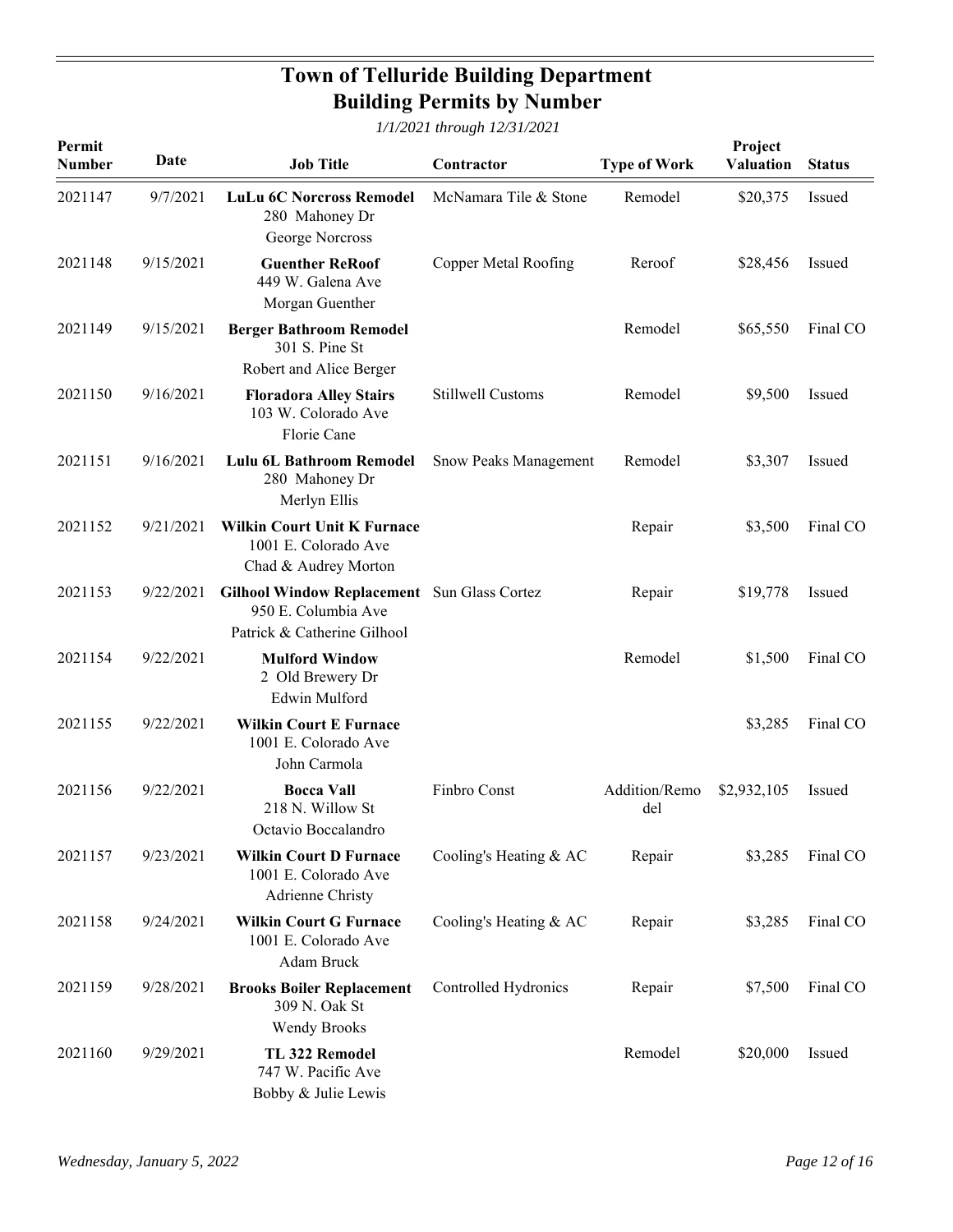| Permit<br>Number | Date      | <b>Job Title</b>                                                                                  | Contractor                   | <b>Type of Work</b>  | Project<br><b>Valuation</b> | <b>Status</b> |
|------------------|-----------|---------------------------------------------------------------------------------------------------|------------------------------|----------------------|-----------------------------|---------------|
| 2021147          | 9/7/2021  | <b>LuLu 6C Norcross Remodel</b><br>280 Mahoney Dr<br>George Norcross                              | McNamara Tile & Stone        | Remodel              | \$20,375                    | Issued        |
| 2021148          | 9/15/2021 | <b>Guenther ReRoof</b><br>449 W. Galena Ave<br>Morgan Guenther                                    | Copper Metal Roofing         | Reroof               | \$28,456                    | Issued        |
| 2021149          | 9/15/2021 | <b>Berger Bathroom Remodel</b><br>301 S. Pine St<br>Robert and Alice Berger                       |                              | Remodel              | \$65,550                    | Final CO      |
| 2021150          | 9/16/2021 | <b>Floradora Alley Stairs</b><br>103 W. Colorado Ave<br>Florie Cane                               | <b>Stillwell Customs</b>     | Remodel              | \$9,500                     | Issued        |
| 2021151          | 9/16/2021 | Lulu 6L Bathroom Remodel<br>280 Mahoney Dr<br>Merlyn Ellis                                        | <b>Snow Peaks Management</b> | Remodel              | \$3,307                     | Issued        |
| 2021152          | 9/21/2021 | <b>Wilkin Court Unit K Furnace</b><br>1001 E. Colorado Ave<br>Chad & Audrey Morton                |                              | Repair               | \$3,500                     | Final CO      |
| 2021153          | 9/22/2021 | Gilhool Window Replacement Sun Glass Cortez<br>950 E. Columbia Ave<br>Patrick & Catherine Gilhool |                              | Repair               | \$19,778                    | Issued        |
| 2021154          | 9/22/2021 | <b>Mulford Window</b><br>2 Old Brewery Dr<br>Edwin Mulford                                        |                              | Remodel              | \$1,500                     | Final CO      |
| 2021155          | 9/22/2021 | <b>Wilkin Court E Furnace</b><br>1001 E. Colorado Ave<br>John Carmola                             |                              |                      | \$3,285                     | Final CO      |
| 2021156          | 9/22/2021 | <b>Bocca Vall</b><br>218 N. Willow St<br>Octavio Boccalandro                                      | Finbro Const                 | Addition/Remo<br>del | \$2,932,105                 | Issued        |
| 2021157          | 9/23/2021 | <b>Wilkin Court D Furnace</b><br>1001 E. Colorado Ave<br>Adrienne Christy                         | Cooling's Heating & AC       | Repair               | \$3,285                     | Final CO      |
| 2021158          | 9/24/2021 | <b>Wilkin Court G Furnace</b><br>1001 E. Colorado Ave<br>Adam Bruck                               | Cooling's Heating & AC       | Repair               | \$3,285                     | Final CO      |
| 2021159          | 9/28/2021 | <b>Brooks Boiler Replacement</b><br>309 N. Oak St<br><b>Wendy Brooks</b>                          | Controlled Hydronics         | Repair               | \$7,500                     | Final CO      |
| 2021160          | 9/29/2021 | TL 322 Remodel<br>747 W. Pacific Ave<br>Bobby & Julie Lewis                                       |                              | Remodel              | \$20,000                    | Issued        |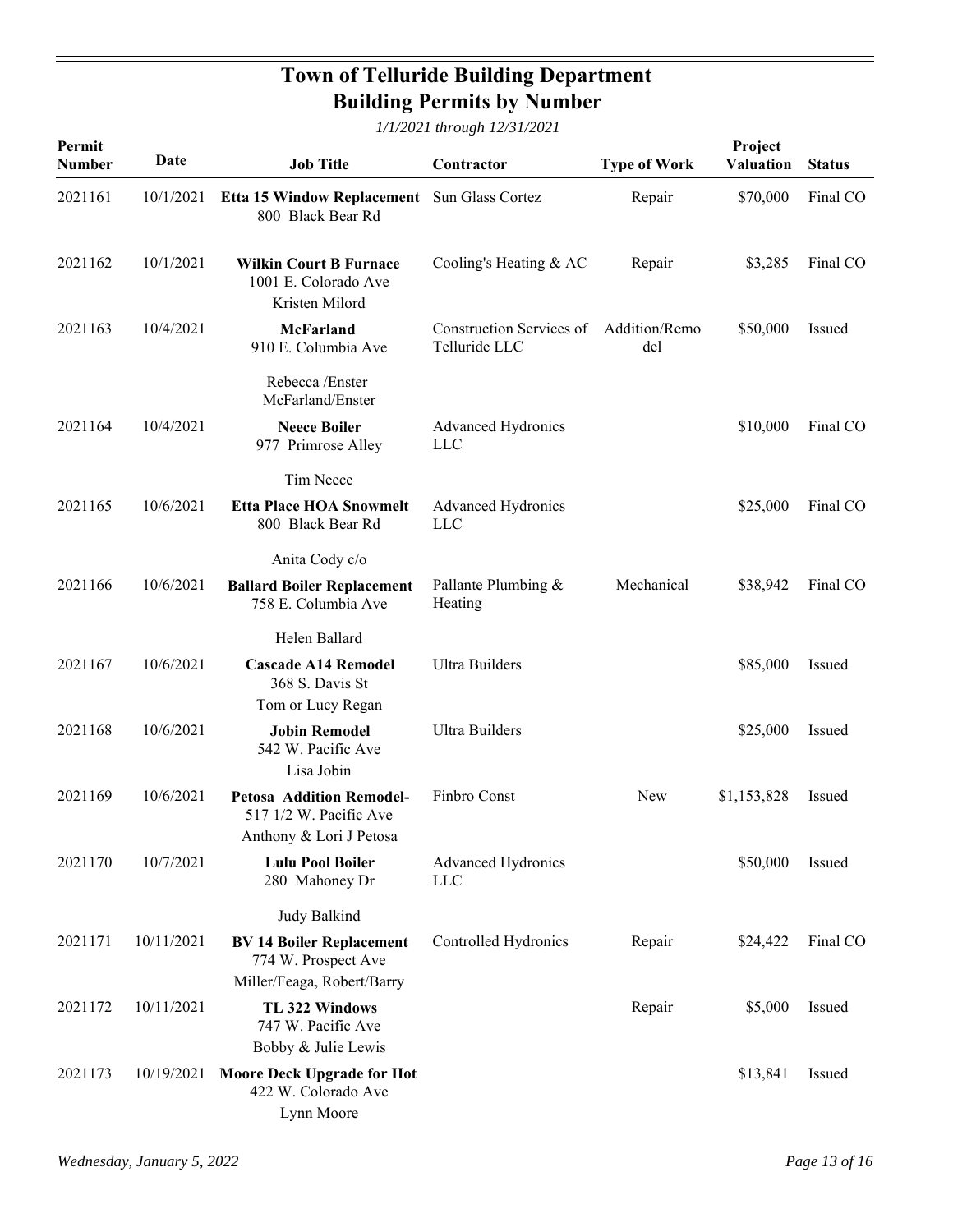| Permit<br>Number | Date       | <b>Job Title</b>                                                                     | Contractor                                | <b>Type of Work</b>  | Project<br><b>Valuation</b> | <b>Status</b> |
|------------------|------------|--------------------------------------------------------------------------------------|-------------------------------------------|----------------------|-----------------------------|---------------|
| 2021161          | 10/1/2021  | Etta 15 Window Replacement Sun Glass Cortez<br>800 Black Bear Rd                     |                                           | Repair               | \$70,000                    | Final CO      |
| 2021162          | 10/1/2021  | <b>Wilkin Court B Furnace</b><br>1001 E. Colorado Ave<br>Kristen Milord              | Cooling's Heating & AC                    | Repair               | \$3,285                     | Final CO      |
| 2021163          | 10/4/2021  | <b>McFarland</b><br>910 E. Columbia Ave                                              | Construction Services of<br>Telluride LLC | Addition/Remo<br>del | \$50,000                    | Issued        |
|                  |            | Rebecca /Enster<br>McFarland/Enster                                                  |                                           |                      |                             |               |
| 2021164          | 10/4/2021  | <b>Neece Boiler</b><br>977 Primrose Alley                                            | Advanced Hydronics<br><b>LLC</b>          |                      | \$10,000                    | Final CO      |
|                  |            | Tim Neece                                                                            |                                           |                      |                             |               |
| 2021165          | 10/6/2021  | <b>Etta Place HOA Snowmelt</b><br>800 Black Bear Rd                                  | Advanced Hydronics<br><b>LLC</b>          |                      | \$25,000                    | Final CO      |
|                  |            | Anita Cody c/o                                                                       |                                           |                      |                             |               |
| 2021166          | 10/6/2021  | <b>Ballard Boiler Replacement</b><br>758 E. Columbia Ave                             | Pallante Plumbing &<br>Heating            | Mechanical           | \$38,942                    | Final CO      |
|                  |            | Helen Ballard                                                                        |                                           |                      |                             |               |
| 2021167          | 10/6/2021  | <b>Cascade A14 Remodel</b><br>368 S. Davis St<br>Tom or Lucy Regan                   | <b>Ultra Builders</b>                     |                      | \$85,000                    | Issued        |
| 2021168          | 10/6/2021  | <b>Jobin Remodel</b><br>542 W. Pacific Ave<br>Lisa Jobin                             | Ultra Builders                            |                      | \$25,000                    | Issued        |
| 2021169          | 10/6/2021  | <b>Petosa Addition Remodel-</b><br>517 1/2 W. Pacific Ave<br>Anthony & Lori J Petosa | Finbro Const                              | <b>New</b>           | \$1,153,828                 | Issued        |
| 2021170          | 10/7/2021  | <b>Lulu Pool Boiler</b><br>280 Mahoney Dr                                            | Advanced Hydronics<br><b>LLC</b>          |                      | \$50,000                    | Issued        |
|                  |            | Judy Balkind                                                                         |                                           |                      |                             |               |
| 2021171          | 10/11/2021 | <b>BV 14 Boiler Replacement</b><br>774 W. Prospect Ave                               | Controlled Hydronics                      | Repair               | \$24,422                    | Final CO      |
| 2021172          | 10/11/2021 | Miller/Feaga, Robert/Barry<br>TL 322 Windows                                         |                                           | Repair               | \$5,000                     | Issued        |
|                  |            | 747 W. Pacific Ave<br>Bobby & Julie Lewis                                            |                                           |                      |                             |               |
| 2021173          | 10/19/2021 | <b>Moore Deck Upgrade for Hot</b><br>422 W. Colorado Ave<br>Lynn Moore               |                                           |                      | \$13,841                    | Issued        |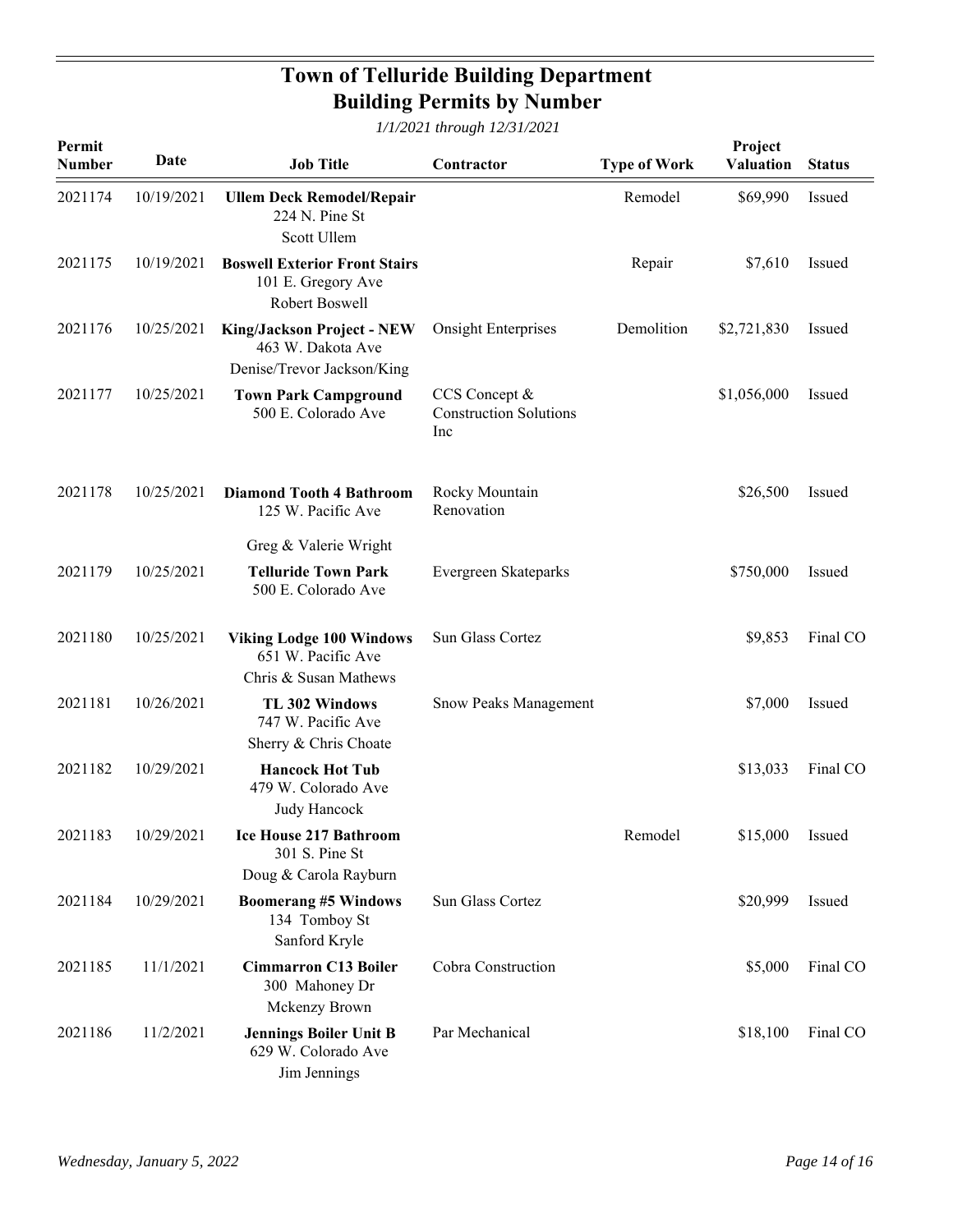| Permit<br>Number | Date       | <b>Job Title</b>                                                                     | Contractor                                            | <b>Type of Work</b> | Project<br><b>Valuation</b> | <b>Status</b> |
|------------------|------------|--------------------------------------------------------------------------------------|-------------------------------------------------------|---------------------|-----------------------------|---------------|
| 2021174          | 10/19/2021 | <b>Ullem Deck Remodel/Repair</b><br>224 N. Pine St<br>Scott Ullem                    |                                                       | Remodel             | \$69,990                    | Issued        |
| 2021175          | 10/19/2021 | <b>Boswell Exterior Front Stairs</b><br>101 E. Gregory Ave<br>Robert Boswell         |                                                       | Repair              | \$7,610                     | Issued        |
| 2021176          | 10/25/2021 | <b>King/Jackson Project - NEW</b><br>463 W. Dakota Ave<br>Denise/Trevor Jackson/King | <b>Onsight Enterprises</b>                            | Demolition          | \$2,721,830                 | Issued        |
| 2021177          | 10/25/2021 | <b>Town Park Campground</b><br>500 E. Colorado Ave                                   | CCS Concept &<br><b>Construction Solutions</b><br>Inc |                     | \$1,056,000                 | Issued        |
| 2021178          | 10/25/2021 | <b>Diamond Tooth 4 Bathroom</b><br>125 W. Pacific Ave                                | Rocky Mountain<br>Renovation                          |                     | \$26,500                    | Issued        |
|                  |            | Greg & Valerie Wright                                                                |                                                       |                     |                             |               |
| 2021179          | 10/25/2021 | <b>Telluride Town Park</b><br>500 E. Colorado Ave                                    | Evergreen Skateparks                                  |                     | \$750,000                   | Issued        |
| 2021180          | 10/25/2021 | <b>Viking Lodge 100 Windows</b><br>651 W. Pacific Ave<br>Chris & Susan Mathews       | Sun Glass Cortez                                      |                     | \$9,853                     | Final CO      |
| 2021181          | 10/26/2021 | TL 302 Windows<br>747 W. Pacific Ave<br>Sherry & Chris Choate                        | Snow Peaks Management                                 |                     | \$7,000                     | Issued        |
| 2021182          | 10/29/2021 | <b>Hancock Hot Tub</b><br>479 W. Colorado Ave<br>Judy Hancock                        |                                                       |                     | \$13,033                    | Final CO      |
| 2021183          | 10/29/2021 | <b>Ice House 217 Bathroom</b><br>301 S. Pine St<br>Doug & Carola Rayburn             |                                                       | Remodel             | \$15,000 Issued             |               |
| 2021184          | 10/29/2021 | <b>Boomerang #5 Windows</b><br>134 Tomboy St<br>Sanford Kryle                        | Sun Glass Cortez                                      |                     | \$20,999                    | Issued        |
| 2021185          | 11/1/2021  | <b>Cimmarron C13 Boiler</b><br>300 Mahoney Dr<br>Mckenzy Brown                       | Cobra Construction                                    |                     | \$5,000                     | Final CO      |
| 2021186          | 11/2/2021  | <b>Jennings Boiler Unit B</b><br>629 W. Colorado Ave<br>Jim Jennings                 | Par Mechanical                                        |                     | \$18,100                    | Final CO      |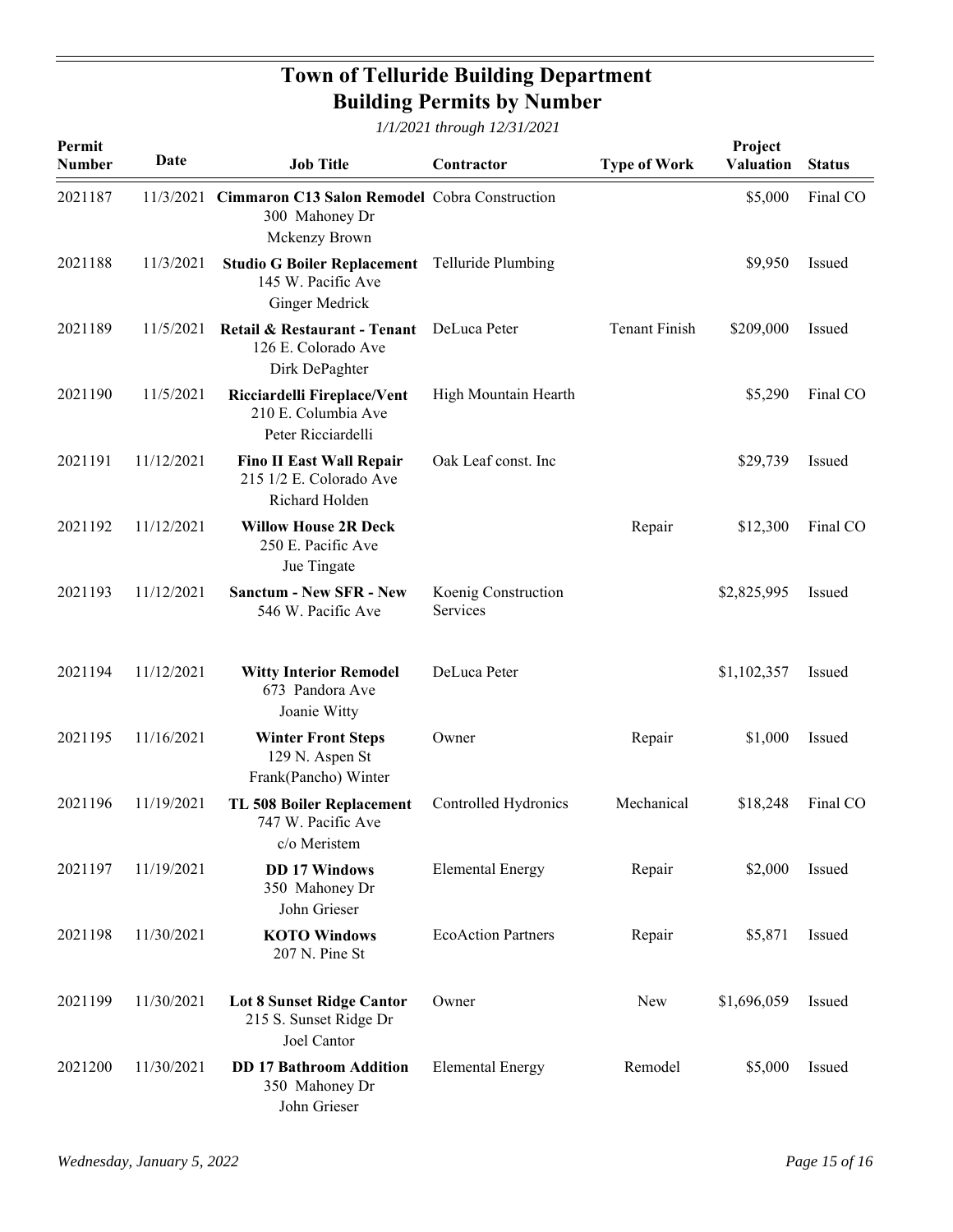| Permit<br><b>Number</b> | Date       | <b>Job Title</b>                                                                           | Contractor                      | <b>Type of Work</b>  | Project<br><b>Valuation</b> | <b>Status</b> |
|-------------------------|------------|--------------------------------------------------------------------------------------------|---------------------------------|----------------------|-----------------------------|---------------|
| 2021187                 |            | 11/3/2021 Cimmaron C13 Salon Remodel Cobra Construction<br>300 Mahoney Dr<br>Mckenzy Brown |                                 |                      | \$5,000                     | Final CO      |
| 2021188                 | 11/3/2021  | <b>Studio G Boiler Replacement</b><br>145 W. Pacific Ave<br>Ginger Medrick                 | Telluride Plumbing              |                      | \$9,950                     | Issued        |
| 2021189                 | 11/5/2021  | Retail & Restaurant - Tenant<br>126 E. Colorado Ave<br>Dirk DePaghter                      | DeLuca Peter                    | <b>Tenant Finish</b> | \$209,000                   | Issued        |
| 2021190                 | 11/5/2021  | Ricciardelli Fireplace/Vent<br>210 E. Columbia Ave<br>Peter Ricciardelli                   | High Mountain Hearth            |                      | \$5,290                     | Final CO      |
| 2021191                 | 11/12/2021 | <b>Fino II East Wall Repair</b><br>215 1/2 E. Colorado Ave<br>Richard Holden               | Oak Leaf const. Inc             |                      | \$29,739                    | Issued        |
| 2021192                 | 11/12/2021 | <b>Willow House 2R Deck</b><br>250 E. Pacific Ave<br>Jue Tingate                           |                                 | Repair               | \$12,300                    | Final CO      |
| 2021193                 | 11/12/2021 | <b>Sanctum - New SFR - New</b><br>546 W. Pacific Ave                                       | Koenig Construction<br>Services |                      | \$2,825,995                 | Issued        |
| 2021194                 | 11/12/2021 | <b>Witty Interior Remodel</b><br>673 Pandora Ave<br>Joanie Witty                           | DeLuca Peter                    |                      | \$1,102,357                 | Issued        |
| 2021195                 | 11/16/2021 | <b>Winter Front Steps</b><br>129 N. Aspen St<br>Frank(Pancho) Winter                       | Owner                           | Repair               | \$1,000                     | Issued        |
| 2021196                 | 11/19/2021 | TL 508 Boiler Replacement<br>747 W. Pacific Ave<br>c/o Meristem                            | Controlled Hydronics            | Mechanical           | \$18,248                    | Final CO      |
| 2021197                 | 11/19/2021 | <b>DD 17 Windows</b><br>350 Mahoney Dr<br>John Grieser                                     | <b>Elemental Energy</b>         | Repair               | \$2,000                     | Issued        |
| 2021198                 | 11/30/2021 | <b>KOTO Windows</b><br>207 N. Pine St                                                      | <b>EcoAction Partners</b>       | Repair               | \$5,871                     | Issued        |
| 2021199                 | 11/30/2021 | <b>Lot 8 Sunset Ridge Cantor</b><br>215 S. Sunset Ridge Dr<br>Joel Cantor                  | Owner                           | New                  | \$1,696,059                 | Issued        |
| 2021200                 | 11/30/2021 | <b>DD 17 Bathroom Addition</b><br>350 Mahoney Dr<br>John Grieser                           | <b>Elemental Energy</b>         | Remodel              | \$5,000                     | Issued        |